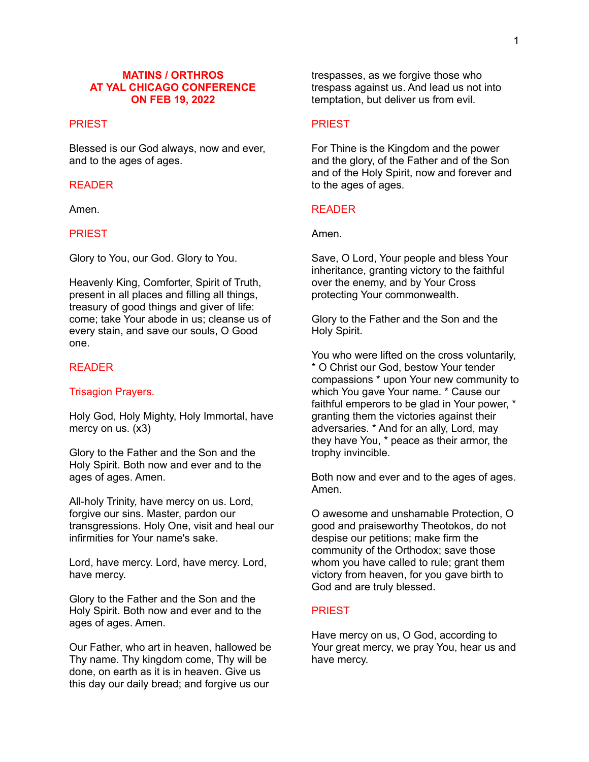### **MATINS / ORTHROS AT YAL CHICAGO CONFERENCE ON FEB 19, 2022**

# **PRIEST**

Blessed is our God always, now and ever, and to the ages of ages.

### READER

Amen.

# PRIEST

Glory to You, our God. Glory to You.

Heavenly King, Comforter, Spirit of Truth, present in all places and filling all things, treasury of good things and giver of life: come; take Your abode in us; cleanse us of every stain, and save our souls, O Good one.

### READER

### Trisagion Prayers.

Holy God, Holy Mighty, Holy Immortal, have mercy on us. (x3)

Glory to the Father and the Son and the Holy Spirit. Both now and ever and to the ages of ages. Amen.

All-holy Trinity, have mercy on us. Lord, forgive our sins. Master, pardon our transgressions. Holy One, visit and heal our infirmities for Your name's sake.

Lord, have mercy. Lord, have mercy. Lord, have mercy.

Glory to the Father and the Son and the Holy Spirit. Both now and ever and to the ages of ages. Amen.

Our Father, who art in heaven, hallowed be Thy name. Thy kingdom come, Thy will be done, on earth as it is in heaven. Give us this day our daily bread; and forgive us our

trespasses, as we forgive those who trespass against us. And lead us not into temptation, but deliver us from evil.

### PRIEST

For Thine is the Kingdom and the power and the glory, of the Father and of the Son and of the Holy Spirit, now and forever and to the ages of ages.

### READER

Amen.

Save, O Lord, Your people and bless Your inheritance, granting victory to the faithful over the enemy, and by Your Cross protecting Your commonwealth.

Glory to the Father and the Son and the Holy Spirit.

You who were lifted on the cross voluntarily, \* O Christ our God, bestow Your tender compassions \* upon Your new community to which You gave Your name. \* Cause our faithful emperors to be glad in Your power, \* granting them the victories against their adversaries. \* And for an ally, Lord, may they have You, \* peace as their armor, the trophy invincible.

Both now and ever and to the ages of ages. Amen.

O awesome and unshamable Protection, O good and praiseworthy Theotokos, do not despise our petitions; make firm the community of the Orthodox; save those whom you have called to rule; grant them victory from heaven, for you gave birth to God and are truly blessed.

### PRIEST

Have mercy on us, O God, according to Your great mercy, we pray You, hear us and have mercy.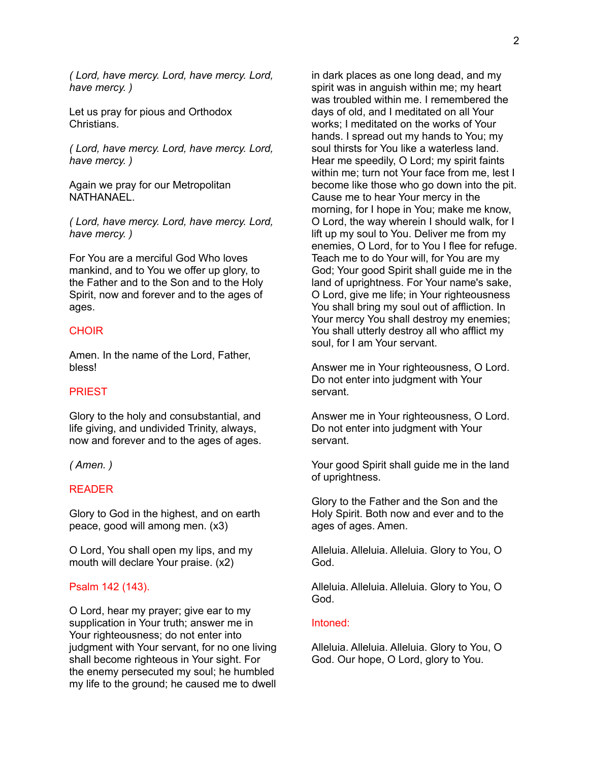*( Lord, have mercy. Lord, have mercy. Lord, have mercy. )*

Let us pray for pious and Orthodox Christians.

*( Lord, have mercy. Lord, have mercy. Lord, have mercy. )*

Again we pray for our Metropolitan NATHANAEL.

*( Lord, have mercy. Lord, have mercy. Lord, have mercy. )*

For You are a merciful God Who loves mankind, and to You we offer up glory, to the Father and to the Son and to the Holy Spirit, now and forever and to the ages of ages.

### **CHOIR**

Amen. In the name of the Lord, Father, bless!

### PRIEST

Glory to the holy and consubstantial, and life giving, and undivided Trinity, always, now and forever and to the ages of ages.

*( Amen. )*

### READER

Glory to God in the highest, and on earth peace, good will among men. (x3)

O Lord, You shall open my lips, and my mouth will declare Your praise. (x2)

#### Psalm 142 (143).

O Lord, hear my prayer; give ear to my supplication in Your truth; answer me in Your righteousness; do not enter into judgment with Your servant, for no one living shall become righteous in Your sight. For the enemy persecuted my soul; he humbled my life to the ground; he caused me to dwell

in dark places as one long dead, and my spirit was in anguish within me; my heart was troubled within me. I remembered the days of old, and I meditated on all Your works; I meditated on the works of Your hands. I spread out my hands to You; my soul thirsts for You like a waterless land. Hear me speedily, O Lord; my spirit faints within me; turn not Your face from me, lest I become like those who go down into the pit. Cause me to hear Your mercy in the morning, for I hope in You; make me know, O Lord, the way wherein I should walk, for I lift up my soul to You. Deliver me from my enemies, O Lord, for to You I flee for refuge. Teach me to do Your will, for You are my God; Your good Spirit shall guide me in the land of uprightness. For Your name's sake, O Lord, give me life; in Your righteousness You shall bring my soul out of affliction. In Your mercy You shall destroy my enemies; You shall utterly destroy all who afflict my soul, for I am Your servant.

Answer me in Your righteousness, O Lord. Do not enter into judgment with Your servant.

Answer me in Your righteousness, O Lord. Do not enter into judgment with Your servant.

Your good Spirit shall guide me in the land of uprightness.

Glory to the Father and the Son and the Holy Spirit. Both now and ever and to the ages of ages. Amen.

Alleluia. Alleluia. Alleluia. Glory to You, O God.

Alleluia. Alleluia. Alleluia. Glory to You, O God.

#### Intoned:

Alleluia. Alleluia. Alleluia. Glory to You, O God. Our hope, O Lord, glory to You.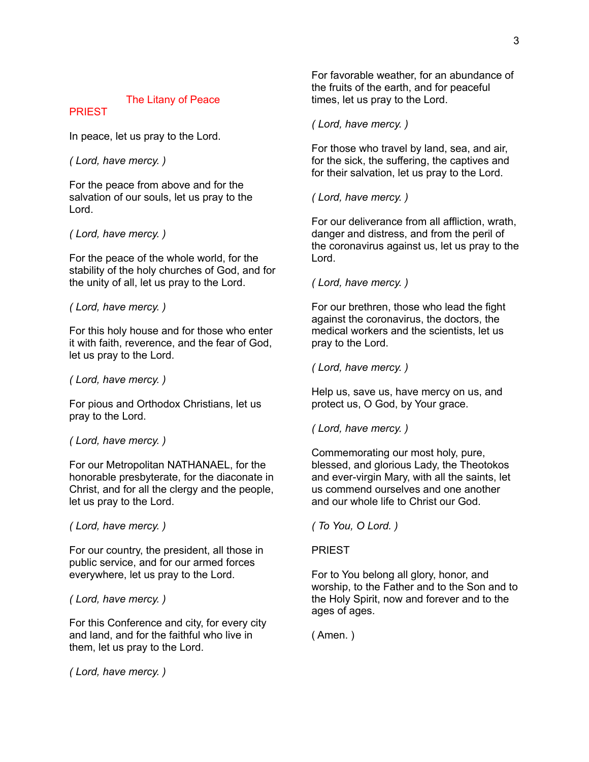# The Litany of Peace

### PRIEST

In peace, let us pray to the Lord.

*( Lord, have mercy. )*

For the peace from above and for the salvation of our souls, let us pray to the Lord.

# *( Lord, have mercy. )*

For the peace of the whole world, for the stability of the holy churches of God, and for the unity of all, let us pray to the Lord.

*( Lord, have mercy. )*

For this holy house and for those who enter it with faith, reverence, and the fear of God, let us pray to the Lord.

### *( Lord, have mercy. )*

For pious and Orthodox Christians, let us pray to the Lord.

# *( Lord, have mercy. )*

For our Metropolitan NATHANAEL, for the honorable presbyterate, for the diaconate in Christ, and for all the clergy and the people, let us pray to the Lord.

*( Lord, have mercy. )*

For our country, the president, all those in public service, and for our armed forces everywhere, let us pray to the Lord.

# *( Lord, have mercy. )*

For this Conference and city, for every city and land, and for the faithful who live in them, let us pray to the Lord.

*( Lord, have mercy. )*

For favorable weather, for an abundance of the fruits of the earth, and for peaceful times, let us pray to the Lord.

# *( Lord, have mercy. )*

For those who travel by land, sea, and air, for the sick, the suffering, the captives and for their salvation, let us pray to the Lord.

*( Lord, have mercy. )*

For our deliverance from all affliction, wrath, danger and distress, and from the peril of the coronavirus against us, let us pray to the Lord.

# *( Lord, have mercy. )*

For our brethren, those who lead the fight against the coronavirus, the doctors, the medical workers and the scientists, let us pray to the Lord.

*( Lord, have mercy. )*

Help us, save us, have mercy on us, and protect us, O God, by Your grace.

*( Lord, have mercy. )*

Commemorating our most holy, pure, blessed, and glorious Lady, the Theotokos and ever-virgin Mary, with all the saints, let us commend ourselves and one another and our whole life to Christ our God.

*( To You, O Lord. )*

# PRIEST

For to You belong all glory, honor, and worship, to the Father and to the Son and to the Holy Spirit, now and forever and to the ages of ages.

( Amen. )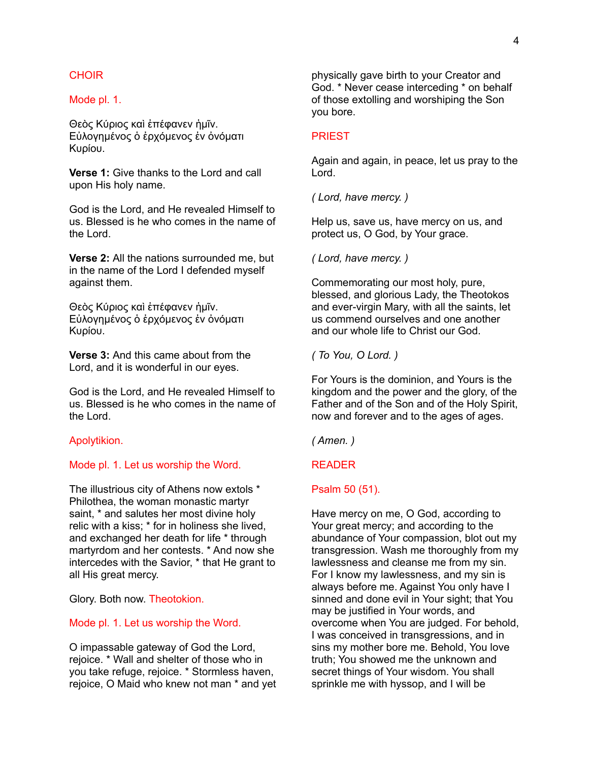### **CHOIR**

#### Mode pl. 1.

Θεὸς Κύριος καὶ ἐπέφανεν ἡμῖν. Εὐλογημένος ὁ ἐρχόμενος ἐν ὀνόματι Κυρίου.

**Verse 1:** Give thanks to the Lord and call upon His holy name.

God is the Lord, and He revealed Himself to us. Blessed is he who comes in the name of the Lord.

**Verse 2:** All the nations surrounded me, but in the name of the Lord I defended myself against them.

Θεὸς Κύριος καὶ ἐπέφανεν ἡμῖν. Εὐλογημένος ὁ ἐρχόμενος ἐν ὀνόματι Κυρίου.

**Verse 3:** And this came about from the Lord, and it is wonderful in our eyes.

God is the Lord, and He revealed Himself to us. Blessed is he who comes in the name of the Lord.

#### Apolytikion.

#### Mode pl. 1. Let us worship the Word.

The illustrious city of Athens now extols \* Philothea, the woman monastic martyr saint, \* and salutes her most divine holy relic with a kiss; \* for in holiness she lived, and exchanged her death for life \* through martyrdom and her contests. \* And now she intercedes with the Savior, \* that He grant to all His great mercy.

Glory. Both now. Theotokion.

#### Mode pl. 1. Let us worship the Word.

O impassable gateway of God the Lord, rejoice. \* Wall and shelter of those who in you take refuge, rejoice. \* Stormless haven, rejoice, O Maid who knew not man \* and yet physically gave birth to your Creator and God. \* Never cease interceding \* on behalf of those extolling and worshiping the Son you bore.

#### PRIEST

Again and again, in peace, let us pray to the Lord.

*( Lord, have mercy. )*

Help us, save us, have mercy on us, and protect us, O God, by Your grace.

*( Lord, have mercy. )*

Commemorating our most holy, pure, blessed, and glorious Lady, the Theotokos and ever-virgin Mary, with all the saints, let us commend ourselves and one another and our whole life to Christ our God.

*( To You, O Lord. )*

For Yours is the dominion, and Yours is the kingdom and the power and the glory, of the Father and of the Son and of the Holy Spirit, now and forever and to the ages of ages.

*( Amen. )*

#### READER

#### Psalm 50 (51).

Have mercy on me, O God, according to Your great mercy; and according to the abundance of Your compassion, blot out my transgression. Wash me thoroughly from my lawlessness and cleanse me from my sin. For I know my lawlessness, and my sin is always before me. Against You only have I sinned and done evil in Your sight; that You may be justified in Your words, and overcome when You are judged. For behold, I was conceived in transgressions, and in sins my mother bore me. Behold, You love truth; You showed me the unknown and secret things of Your wisdom. You shall sprinkle me with hyssop, and I will be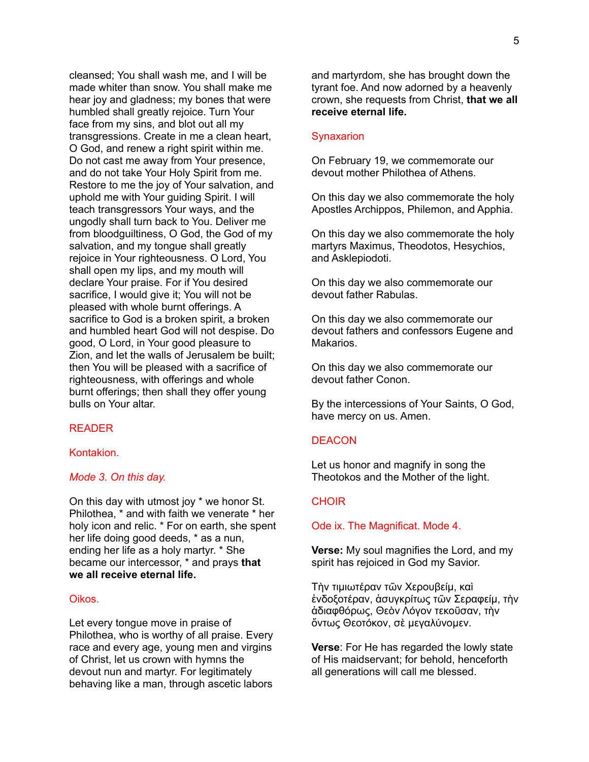cleansed; You shall wash me, and I will be made whiter than snow. You shall make me hear joy and gladness; my bones that were humbled shall greatly rejoice. Turn Your face from my sins, and blot out all my transgressions. Create in me a clean heart, O God, and renew a right spirit within me. Do not cast me away from Your presence, and do not take Your Holy Spirit from me. Restore to me the joy of Your salvation, and uphold me with Your guiding Spirit. I will teach transgressors Your ways, and the ungodly shall turn back to You. Deliver me from bloodguiltiness, O God, the God of my salvation, and my tongue shall greatly rejoice in Your righteousness. O Lord, You shall open my lips, and my mouth will declare Your praise. For if You desired sacrifice, I would give it; You will not be pleased with whole burnt offerings. A sacrifice to God is a broken spirit, a broken and humbled heart God will not despise. Do good, O Lord, in Your good pleasure to Zion, and let the walls of Jerusalem be built; then You will be pleased with a sacrifice of righteousness, with offerings and whole burnt offerings; then shall they offer young bulls on Your altar.

# READER

### Kontakion.

### *Mode 3. On this day.*

On this day with utmost joy \* we honor St. Philothea, \* and with faith we venerate \* her holy icon and relic. \* For on earth, she spent her life doing good deeds, \* as a nun, ending her life as a holy martyr. \* She became our intercessor, \* and prays **that we all receive eternal life.**

### Oikos.

Let every tongue move in praise of Philothea, who is worthy of all praise. Every race and every age, young men and virgins of Christ, let us crown with hymns the devout nun and martyr. For legitimately behaving like a man, through ascetic labors

and martyrdom, she has brought down the tyrant foe. And now adorned by a heavenly crown, she requests from Christ, **that we all receive eternal life.**

#### **Synaxarion**

On February 19, we commemorate our devout mother Philothea of Athens.

On this day we also commemorate the holy Apostles Archippos, Philemon, and Apphia.

On this day we also commemorate the holy martyrs Maximus, Theodotos, Hesychios, and Asklepiodoti.

On this day we also commemorate our devout father Rabulas.

On this day we also commemorate our devout fathers and confessors Eugene and Makarios.

On this day we also commemorate our devout father Conon.

By the intercessions of Your Saints, O God, have mercy on us. Amen.

### **DEACON**

Let us honor and magnify in song the Theotokos and the Mother of the light.

#### **CHOIR**

#### Ode ix. The Magnificat. Mode 4.

**Verse:** My soul magnifies the Lord, and my spirit has rejoiced in God my Savior.

Τὴν τιμιωτέραν τῶν Χερουβείμ, καὶ ἐνδοξοτέραν, ἀσυγκρίτως τῶν Σεραφείμ, τὴν ἀδιαφθόρως, Θεὸν Λόγον τεκοῦσαν, τὴν ὄντως Θεοτόκον, σὲ μεγαλύνομεν.

**Verse**: For He has regarded the lowly state of His maidservant; for behold, henceforth all generations will call me blessed.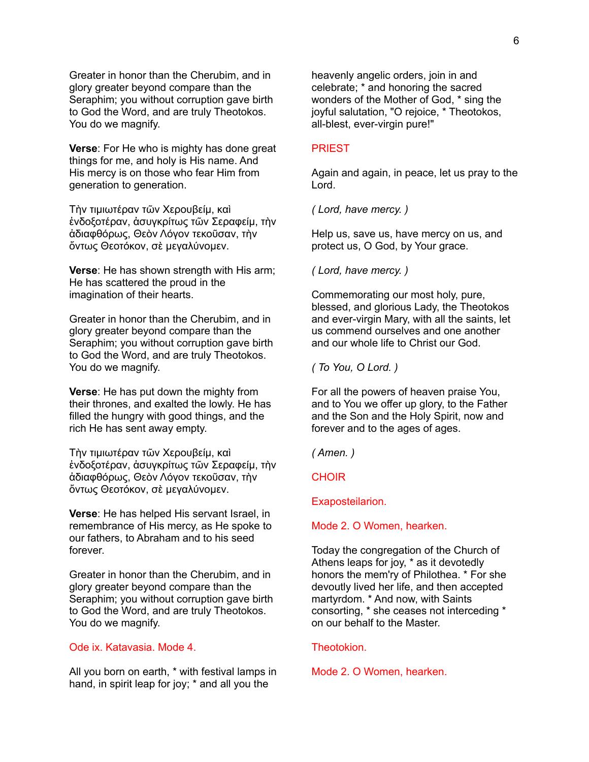Greater in honor than the Cherubim, and in glory greater beyond compare than the Seraphim; you without corruption gave birth to God the Word, and are truly Theotokos. You do we magnify.

**Verse**: For He who is mighty has done great things for me, and holy is His name. And His mercy is on those who fear Him from generation to generation.

Τὴν τιμιωτέραν τῶν Χερουβείμ, καὶ ἐνδοξοτέραν, ἀσυγκρίτως τῶν Σεραφείμ, τὴν ἀδιαφθόρως, Θεὸν Λόγον τεκοῦσαν, τὴν ὄντως Θεοτόκον, σὲ μεγαλύνομεν.

**Verse**: He has shown strength with His arm; He has scattered the proud in the imagination of their hearts.

Greater in honor than the Cherubim, and in glory greater beyond compare than the Seraphim; you without corruption gave birth to God the Word, and are truly Theotokos. You do we magnify.

**Verse**: He has put down the mighty from their thrones, and exalted the lowly. He has filled the hungry with good things, and the rich He has sent away empty.

Τὴν τιμιωτέραν τῶν Χερουβείμ, καὶ ἐνδοξοτέραν, ἀσυγκρίτως τῶν Σεραφείμ, τὴν ἀδιαφθόρως, Θεὸν Λόγον τεκοῦσαν, τὴν ὄντως Θεοτόκον, σὲ μεγαλύνομεν.

**Verse**: He has helped His servant Israel, in remembrance of His mercy, as He spoke to our fathers, to Abraham and to his seed forever.

Greater in honor than the Cherubim, and in glory greater beyond compare than the Seraphim; you without corruption gave birth to God the Word, and are truly Theotokos. You do we magnify.

# Ode ix. Katavasia. Mode 4.

All you born on earth, \* with festival lamps in hand, in spirit leap for joy; \* and all you the

heavenly angelic orders, join in and celebrate; \* and honoring the sacred wonders of the Mother of God, \* sing the joyful salutation, "O rejoice, \* Theotokos, all-blest, ever-virgin pure!"

### PRIEST

Again and again, in peace, let us pray to the Lord.

*( Lord, have mercy. )*

Help us, save us, have mercy on us, and protect us, O God, by Your grace.

*( Lord, have mercy. )*

Commemorating our most holy, pure, blessed, and glorious Lady, the Theotokos and ever-virgin Mary, with all the saints, let us commend ourselves and one another and our whole life to Christ our God.

*( To You, O Lord. )*

For all the powers of heaven praise You, and to You we offer up glory, to the Father and the Son and the Holy Spirit, now and forever and to the ages of ages.

*( Amen. )*

**CHOIR** 

Exaposteilarion.

Mode 2. O Women, hearken.

Today the congregation of the Church of Athens leaps for joy, \* as it devotedly honors the mem'ry of Philothea. \* For she devoutly lived her life, and then accepted martyrdom. \* And now, with Saints consorting, \* she ceases not interceding \* on our behalf to the Master.

Theotokion.

Mode 2. O Women, hearken.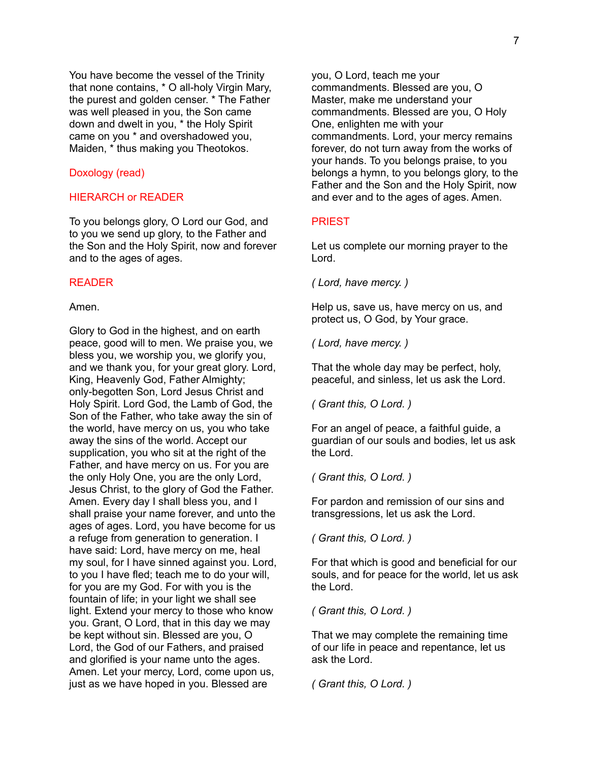You have become the vessel of the Trinity that none contains, \* O all-holy Virgin Mary, the purest and golden censer. \* The Father was well pleased in you, the Son came down and dwelt in you, \* the Holy Spirit came on you \* and overshadowed you, Maiden, \* thus making you Theotokos.

#### Doxology (read)

### HIERARCH or READER

To you belongs glory, O Lord our God, and to you we send up glory, to the Father and the Son and the Holy Spirit, now and forever and to the ages of ages.

# READER

#### Amen.

Glory to God in the highest, and on earth peace, good will to men. We praise you, we bless you, we worship you, we glorify you, and we thank you, for your great glory. Lord, King, Heavenly God, Father Almighty; only-begotten Son, Lord Jesus Christ and Holy Spirit. Lord God, the Lamb of God, the Son of the Father, who take away the sin of the world, have mercy on us, you who take away the sins of the world. Accept our supplication, you who sit at the right of the Father, and have mercy on us. For you are the only Holy One, you are the only Lord, Jesus Christ, to the glory of God the Father. Amen. Every day I shall bless you, and I shall praise your name forever, and unto the ages of ages. Lord, you have become for us a refuge from generation to generation. I have said: Lord, have mercy on me, heal my soul, for I have sinned against you. Lord, to you I have fled; teach me to do your will, for you are my God. For with you is the fountain of life; in your light we shall see light. Extend your mercy to those who know you. Grant, O Lord, that in this day we may be kept without sin. Blessed are you, O Lord, the God of our Fathers, and praised and glorified is your name unto the ages. Amen. Let your mercy, Lord, come upon us, just as we have hoped in you. Blessed are

you, O Lord, teach me your commandments. Blessed are you, O Master, make me understand your commandments. Blessed are you, O Holy One, enlighten me with your commandments. Lord, your mercy remains forever, do not turn away from the works of your hands. To you belongs praise, to you belongs a hymn, to you belongs glory, to the Father and the Son and the Holy Spirit, now and ever and to the ages of ages. Amen.

### PRIEST

Let us complete our morning prayer to the Lord.

*( Lord, have mercy. )*

Help us, save us, have mercy on us, and protect us, O God, by Your grace.

*( Lord, have mercy. )*

That the whole day may be perfect, holy, peaceful, and sinless, let us ask the Lord.

*( Grant this, O Lord. )*

For an angel of peace, a faithful guide, a guardian of our souls and bodies, let us ask the Lord.

*( Grant this, O Lord. )*

For pardon and remission of our sins and transgressions, let us ask the Lord.

*( Grant this, O Lord. )*

For that which is good and beneficial for our souls, and for peace for the world, let us ask the Lord.

*( Grant this, O Lord. )*

That we may complete the remaining time of our life in peace and repentance, let us ask the Lord.

*( Grant this, O Lord. )*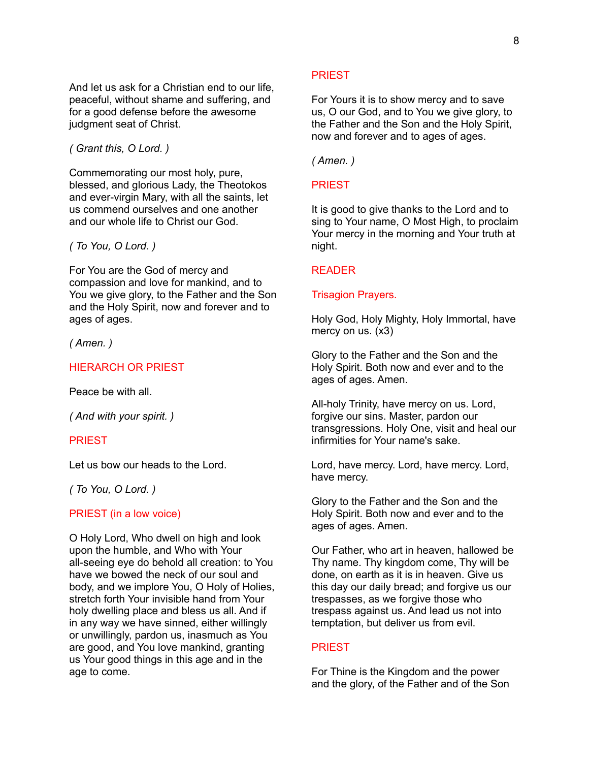And let us ask for a Christian end to our life, peaceful, without shame and suffering, and for a good defense before the awesome iudgment seat of Christ.

*( Grant this, O Lord. )*

Commemorating our most holy, pure, blessed, and glorious Lady, the Theotokos and ever-virgin Mary, with all the saints, let us commend ourselves and one another and our whole life to Christ our God.

*( To You, O Lord. )*

For You are the God of mercy and compassion and love for mankind, and to You we give glory, to the Father and the Son and the Holy Spirit, now and forever and to ages of ages.

*( Amen. )*

### HIERARCH OR PRIEST

Peace be with all.

*( And with your spirit. )*

### PRIEST

Let us bow our heads to the Lord.

*( To You, O Lord. )*

PRIEST (in a low voice)

O Holy Lord, Who dwell on high and look upon the humble, and Who with Your all-seeing eye do behold all creation: to You have we bowed the neck of our soul and body, and we implore You, O Holy of Holies, stretch forth Your invisible hand from Your holy dwelling place and bless us all. And if in any way we have sinned, either willingly or unwillingly, pardon us, inasmuch as You are good, and You love mankind, granting us Your good things in this age and in the age to come.

#### **PRIEST**

For Yours it is to show mercy and to save us, O our God, and to You we give glory, to the Father and the Son and the Holy Spirit, now and forever and to ages of ages.

*( Amen. )*

# PRIEST

It is good to give thanks to the Lord and to sing to Your name, O Most High, to proclaim Your mercy in the morning and Your truth at night.

# READER

#### Trisagion Prayers.

Holy God, Holy Mighty, Holy Immortal, have mercy on us. (x3)

Glory to the Father and the Son and the Holy Spirit. Both now and ever and to the ages of ages. Amen.

All-holy Trinity, have mercy on us. Lord, forgive our sins. Master, pardon our transgressions. Holy One, visit and heal our infirmities for Your name's sake.

Lord, have mercy. Lord, have mercy. Lord, have mercy.

Glory to the Father and the Son and the Holy Spirit. Both now and ever and to the ages of ages. Amen.

Our Father, who art in heaven, hallowed be Thy name. Thy kingdom come, Thy will be done, on earth as it is in heaven. Give us this day our daily bread; and forgive us our trespasses, as we forgive those who trespass against us. And lead us not into temptation, but deliver us from evil.

### **PRIEST**

For Thine is the Kingdom and the power and the glory, of the Father and of the Son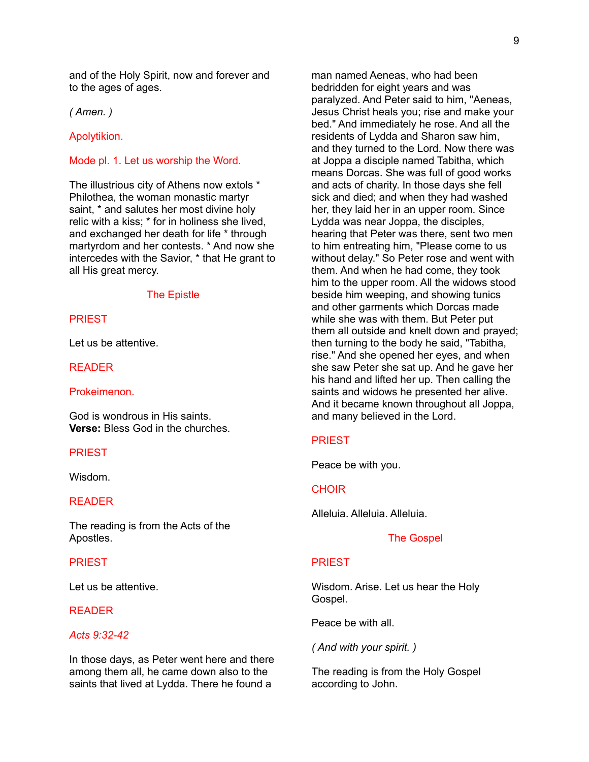and of the Holy Spirit, now and forever and to the ages of ages.

*( Amen. )*

Apolytikion.

# Mode pl. 1. Let us worship the Word.

The illustrious city of Athens now extols \* Philothea, the woman monastic martyr saint, \* and salutes her most divine holy relic with a kiss; \* for in holiness she lived, and exchanged her death for life \* through martyrdom and her contests. \* And now she intercedes with the Savior, \* that He grant to all His great mercy.

#### The Epistle

# PRIEST

Let us be attentive.

#### READER

### Prokeimenon.

God is wondrous in His saints. **Verse:** Bless God in the churches.

#### **PRIEST**

Wisdom.

# READER

The reading is from the Acts of the Apostles.

### **PRIEST**

Let us be attentive.

# READER

# *Acts 9:32-42*

In those days, as Peter went here and there among them all, he came down also to the saints that lived at Lydda. There he found a

man named Aeneas, who had been bedridden for eight years and was paralyzed. And Peter said to him, "Aeneas, Jesus Christ heals you; rise and make your bed." And immediately he rose. And all the residents of Lydda and Sharon saw him, and they turned to the Lord. Now there was at Joppa a disciple named Tabitha, which means Dorcas. She was full of good works and acts of charity. In those days she fell sick and died; and when they had washed her, they laid her in an upper room. Since Lydda was near Joppa, the disciples, hearing that Peter was there, sent two men to him entreating him, "Please come to us without delay." So Peter rose and went with them. And when he had come, they took him to the upper room. All the widows stood beside him weeping, and showing tunics and other garments which Dorcas made while she was with them. But Peter put them all outside and knelt down and prayed; then turning to the body he said, "Tabitha, rise." And she opened her eyes, and when she saw Peter she sat up. And he gave her his hand and lifted her up. Then calling the saints and widows he presented her alive. And it became known throughout all Joppa, and many believed in the Lord.

### PRIEST

Peace be with you.

### **CHOIR**

Alleluia. Alleluia. Alleluia.

#### The Gospel

#### **PRIEST**

Wisdom. Arise. Let us hear the Holy Gospel.

Peace be with all.

*( And with your spirit. )*

The reading is from the Holy Gospel according to John.